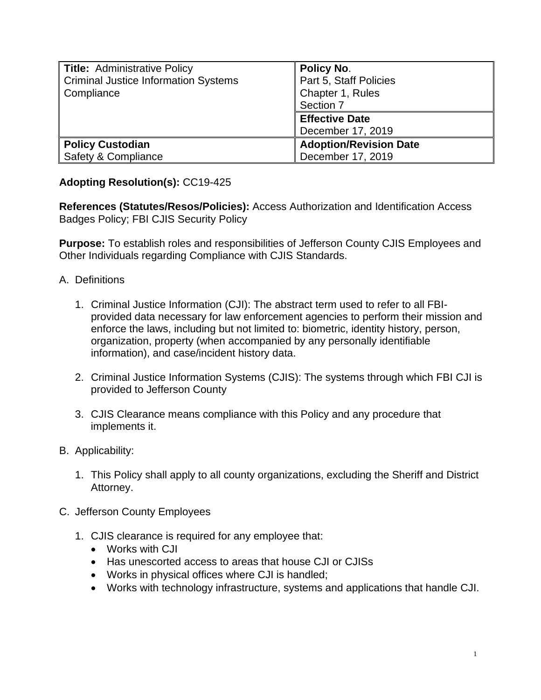| <b>Title: Administrative Policy</b><br><b>Criminal Justice Information Systems</b><br>Compliance | <b>Policy No.</b><br>Part 5, Staff Policies<br>Chapter 1, Rules<br>Section 7 |
|--------------------------------------------------------------------------------------------------|------------------------------------------------------------------------------|
|                                                                                                  | <b>Effective Date</b><br>December 17, 2019                                   |
| <b>Policy Custodian</b><br>Safety & Compliance                                                   | <b>Adoption/Revision Date</b><br>December 17, 2019                           |

## **Adopting Resolution(s):** CC19-425

**References (Statutes/Resos/Policies):** Access Authorization and Identification Access Badges Policy; FBI CJIS Security Policy

**Purpose:** To establish roles and responsibilities of Jefferson County CJIS Employees and Other Individuals regarding Compliance with CJIS Standards.

- A. Definitions
	- 1. Criminal Justice Information (CJI): The abstract term used to refer to all FBIprovided data necessary for law enforcement agencies to perform their mission and enforce the laws, including but not limited to: biometric, identity history, person, organization, property (when accompanied by any personally identifiable information), and case/incident history data.
	- 2. Criminal Justice Information Systems (CJIS): The systems through which FBI CJI is provided to Jefferson County
	- 3. CJIS Clearance means compliance with this Policy and any procedure that implements it.
- B. Applicability:
	- 1. This Policy shall apply to all county organizations, excluding the Sheriff and District Attorney.
- C. Jefferson County Employees
	- 1. CJIS clearance is required for any employee that:
		- Works with CJI
		- Has unescorted access to areas that house CJI or CJISs
		- Works in physical offices where CJI is handled;
		- Works with technology infrastructure, systems and applications that handle CJI.